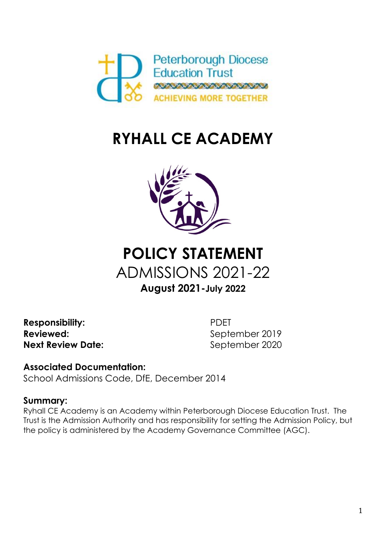

# **RYHALL CE ACADEMY**



## **POLICY STATEMENT** ADMISSIONS 2021-22 **August 2021-July 2022**

**Responsibility:** PDET **Reviewed:** September 2019 **Next Review Date:** September 2020

**Associated Documentation:**  School Admissions Code, DfE, December 2014

### **Summary:**

Ryhall CE Academy is an Academy within Peterborough Diocese Education Trust. The Trust is the Admission Authority and has responsibility for setting the Admission Policy, but the policy is administered by the Academy Governance Committee (AGC).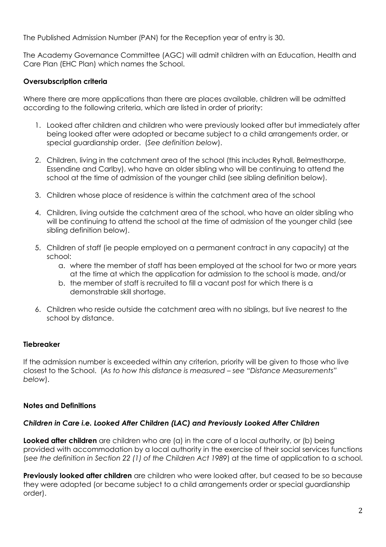The Published Admission Number (PAN) for the Reception year of entry is 30.

The Academy Governance Committee (AGC) will admit children with an Education, Health and Care Plan (EHC Plan) which names the School.

#### **Oversubscription criteria**

Where there are more applications than there are places available, children will be admitted according to the following criteria, which are listed in order of priority:

- 1. Looked after children and children who were previously looked after but immediately after being looked after were adopted or became subject to a child arrangements order, or special guardianship order. (*See definition below*).
- 2. Children, living in the catchment area of the school (this includes Ryhall, Belmesthorpe, Essendine and Carlby), who have an older sibling who will be continuing to attend the school at the time of admission of the younger child (see sibling definition below).
- 3. Children whose place of residence is within the catchment area of the school
- 4. Children, living outside the catchment area of the school, who have an older sibling who will be continuing to attend the school at the time of admission of the younger child (see sibling definition below).
- 5. Children of staff (ie people employed on a permanent contract in any capacity) at the school:
	- a. where the member of staff has been employed at the school for two or more years at the time at which the application for admission to the school is made, and/or
	- b. the member of staff is recruited to fill a vacant post for which there is a demonstrable skill shortage.
- 6. Children who reside outside the catchment area with no siblings, but live nearest to the school by distance.

#### **Tiebreaker**

If the admission number is exceeded within any criterion, priority will be given to those who live closest to the School. (*As to how this distance is measured – see "Distance Measurements" below*).

#### **Notes and Definitions**

#### *Children in Care i.e. Looked After Children (LAC) and Previously Looked After Children*

**Looked after children** are children who are (a) in the care of a local authority, or (b) being provided with accommodation by a local authority in the exercise of their social services functions (*see the definition in Section 22 (1) of the Children Act 1989*) at the time of application to a school.

**Previously looked after children** are children who were looked after, but ceased to be so because they were adopted (or became subject to a child arrangements order or special guardianship order).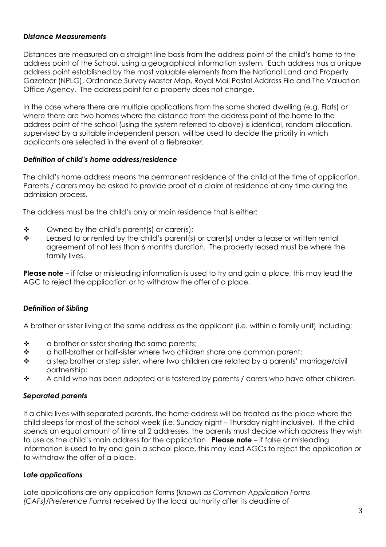#### *Distance Measurements*

Distances are measured on a straight line basis from the address point of the child's home to the address point of the School, using a geographical information system. Each address has a unique address point established by the most valuable elements from the National Land and Property Gazeteer (NPLG), Ordnance Survey Master Map, Royal Mail Postal Address File and The Valuation Office Agency. The address point for a property does not change.

In the case where there are multiple applications from the same shared dwelling (e.g. Flats) or where there are two homes where the distance from the address point of the home to the address point of the school (using the system referred to above) is identical, random allocation, supervised by a suitable independent person, will be used to decide the priority in which applicants are selected in the event of a tiebreaker.

#### *Definition of child's home address/residence*

The child's home address means the permanent residence of the child at the time of application. Parents / carers may be asked to provide proof of a claim of residence at any time during the admission process.

The address must be the child's only or main residence that is either:

- $\mathbf{\hat{\cdot}}$  Owned by the child's parent(s) or carer(s);
- $\div$  Leased to or rented by the child's parent(s) or carer(s) under a lease or written rental agreement of not less than 6 months duration. The property leased must be where the family lives.

**Please note** – if false or misleading information is used to try and gain a place, this may lead the AGC to reject the application or to withdraw the offer of a place.

#### *Definition of Sibling*

A brother or sister living at the same address as the applicant (i.e. within a family unit) including:

- $\cdot \cdot$  a brother or sister sharing the same parents;
- $\bullet$  a half-brother or half-sister where two children share one common parent;
- \* a step brother or step sister, where two children are related by a parents' marriage/civil partnership;
- $\bullet$  A child who has been adopted or is fostered by parents / carers who have other children.

#### *Separated parents*

If a child lives with separated parents, the home address will be treated as the place where the child sleeps for most of the school week (i.e. Sunday night – Thursday night inclusive). If the child spends an equal amount of time at 2 addresses, the parents must decide which address they wish to use as the child's main address for the application. **Please note** – if false or misleading information is used to try and gain a school place, this may lead AGCs to reject the application or to withdraw the offer of a place.

#### *Late applications*

Late applications are any application forms (*known as Common Application Forms (CAFs)/Preference Forms*) received by the local authority after its deadline of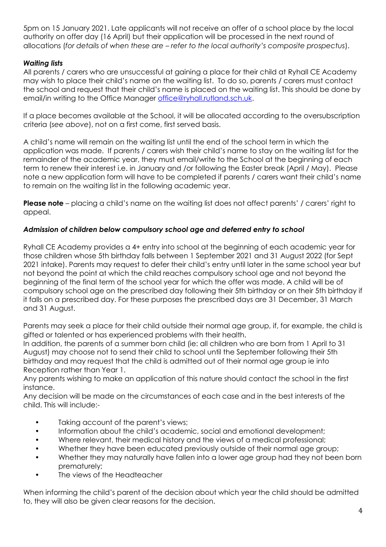5pm on 15 January 2021. Late applicants will not receive an offer of a school place by the local authority on offer day (16 April) but their application will be processed in the next round of allocations (*for details of when these are – refer to the local authority's composite prospectus*).

#### *Waiting lists*

All parents / carers who are unsuccessful at gaining a place for their child at Ryhall CE Academy may wish to place their child's name on the waiting list. To do so, parents / carers must contact the school and request that their child's name is placed on the waiting list. This should be done by email/in writing to the Office Manager [office@ryhall.rutland.sch.uk.](mailto:office@ryhall.rutland.sch.uk)

If a place becomes available at the School, it will be allocated according to the oversubscription criteria (*see above*), not on a first come, first served basis.

A child's name will remain on the waiting list until the end of the school term in which the application was made. If parents / carers wish their child's name to stay on the waiting list for the remainder of the academic year, they must email/write to the School at the beginning of each term to renew their interest i.e. in January and /or following the Easter break (April / May). Please note a new application form will have to be completed if parents / carers want their child's name to remain on the waiting list in the following academic year.

**Please note** – placing a child's name on the waiting list does not affect parents' / carers' right to appeal.

#### *Admission of children below compulsory school age and deferred entry to school*

Ryhall CE Academy provides a 4+ entry into school at the beginning of each academic year for those children whose 5th birthday falls between 1 September 2021 and 31 August 2022 (for Sept 2021 intake). Parents may request to defer their child's entry until later in the same school year but not beyond the point at which the child reaches compulsory school age and not beyond the beginning of the final term of the school year for which the offer was made. A child will be of compulsory school age on the prescribed day following their 5th birthday or on their 5th birthday if it falls on a prescribed day. For these purposes the prescribed days are 31 December, 31 March and 31 August.

Parents may seek a place for their child outside their normal age group, if, for example, the child is gifted or talented or has experienced problems with their health.

In addition, the parents of a summer born child (ie: all children who are born from 1 April to 31 August) may choose not to send their child to school until the September following their 5th birthday and may request that the child is admitted out of their normal age group ie into Reception rather than Year 1.

Any parents wishing to make an application of this nature should contact the school in the first instance.

Any decision will be made on the circumstances of each case and in the best interests of the child. This will include:-

- Taking account of the parent's views;
- Information about the child's academic, social and emotional development;
- Where relevant, their medical history and the views of a medical professional;
- Whether they have been educated previously outside of their normal age group;
- Whether they may naturally have fallen into a lower age group had they not been born prematurely;
- The views of the Headteacher

When informing the child's parent of the decision about which year the child should be admitted to, they will also be given clear reasons for the decision.